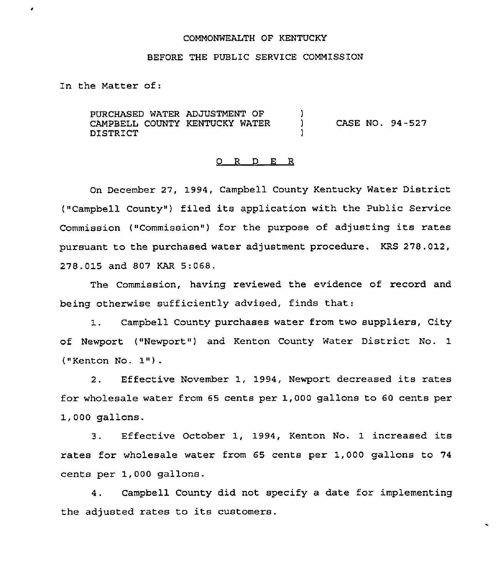# COMMONWEALTH OF KENTUCKY

## BEFORE THE PUBLIC SERVICE COMMISSION

In the Matter of:

×

PURCHASED WATER ADJUSTMENT OF CAMPBELL COUNTY KENTUCKY WATER DISTRICT )<br>) ) CASE NO. 94-527 )

## 0 R <sup>D</sup> E R

On December 27, 1994, Campbell County Kentucky Water District ("Campbell County") filed its application with the Public Service Commission ("Commission") for the purpose of adjusting its rates pursuant to the purchased water adjustment procedure. KRS 278.012, 278.015 and 807 KAR 5:068.

The Commission, having reviewed the evidence of record and being otherwise sufficiently advised, finds that:

1. Campbell County purchases water from two suppliers, City of Newport ("Newport") and Kenton County Water District No. 1 ("Kenton No. 1").

2. Effective November 1, 1994, Newport decreased its rates for wholesale water from 65 cents per 1,000 gallons to 60 cents per 1,000 gallons.

3. Effective October 1, 1994, Kenton No. 1 increased its rates for wholesale water from 65 cents per 1,000 gallons to 74 cents per 1,000 gallons.

4. Campbell County did not specify a date for implementing the adjusted rates to its customers.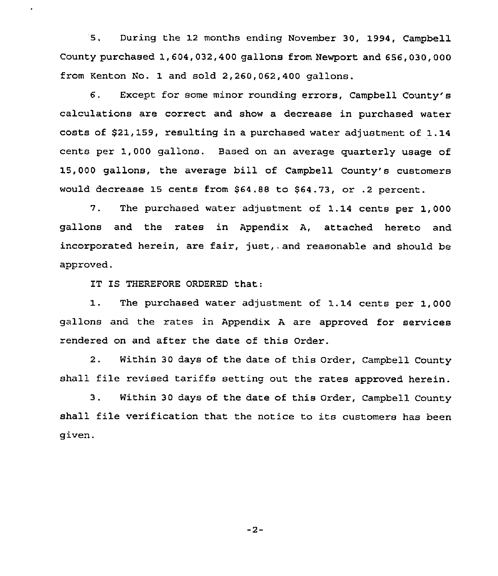5. During the 12 months ending November 30, 1994, Campbell County purchased 1,604,032,400 gallons from Newport and 656,030,000 from Kenton No. 1 and sold 2, 260, 062, 400 gallons.

6. Except for some minor rounding errors, Campbell County's calculations are correct and show a decrease in purchased water costs of 521,159, resulting in a purchased water adjustment of 1.14 cents per 1,000 gallons. Based on an average quarterly usage of 15, 000 gallons, the average bill of Campbell County's customers would decrease 15 cents from \$64.88 to \$64.73, or .2 percent.

7. The purchased water adjustment of 1.14 cents per 1,000 gallons and the rates in Appendix A, attached hereto and incorporated herein, are fair, just,. and reasonable and should be approved.

IT IS THEREFORE ORDERED that:

 $\ddot{\phantom{0}}$ 

1. The purchased water adjustment of 1.<sup>14</sup> cents per 1,000 gallons and the rates in Appendix <sup>A</sup> are approved for services rendered on and after the date of this Order.

2. Within 30 days of the date of this Order, Campbell County shall file revised tariffs setting out the rates approved herein.

3. Within 30 days of the date of this order, Campbell County shall file verification that the notice to its customers has been given.

 $-2-$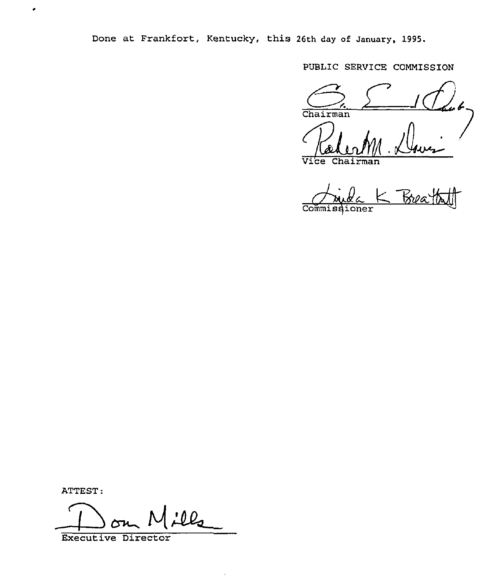Done at Frankfort, Kentucky, this 26th day of January, 1995.

PUBLIC SERVICE COMMISSION

Chairman <u>Am Dovi</u>

Vice Chairman

Commissioner

ATTEST:

 $\bullet$ 

ATTEST:<br>Don Mil

 $\bullet$